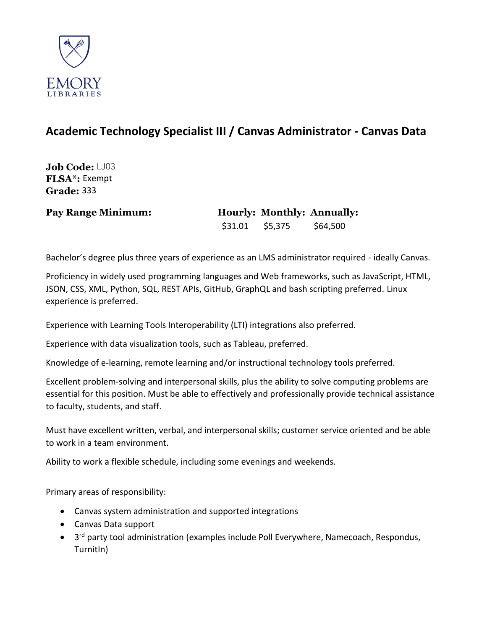

## **Academic Technology Specialist III / Canvas Administrator - Canvas Data**

**Job Code:** LJ03 **FLSA\*:** Exempt **Grade:** 333

## **Pay Range Minimum: Hourly: Monthly: Annually:**  \$31.01 \$5,375 \$64,500

Bachelor's degree plus three years of experience as an LMS administrator required - ideally Canvas.

Proficiency in widely used programming languages and Web frameworks, such as JavaScript, HTML, JSON, CSS, XML, Python, SQL, REST APIs, GitHub, GraphQL and bash scripting preferred. Linux experience is preferred.

Experience with Learning Tools Interoperability (LTI) integrations also preferred.

Experience with data visualization tools, such as Tableau, preferred.

Knowledge of e-learning, remote learning and/or instructional technology tools preferred.

Excellent problem-solving and interpersonal skills, plus the ability to solve computing problems are essential for this position. Must be able to effectively and professionally provide technical assistance to faculty, students, and staff.

Must have excellent written, verbal, and interpersonal skills; customer service oriented and be able to work in a team environment.

Ability to work a flexible schedule, including some evenings and weekends.

Primary areas of responsibility:

- Canvas system administration and supported integrations
- Canvas Data support
- 3<sup>rd</sup> party tool administration (examples include Poll Everywhere, Namecoach, Respondus, TurnitIn)